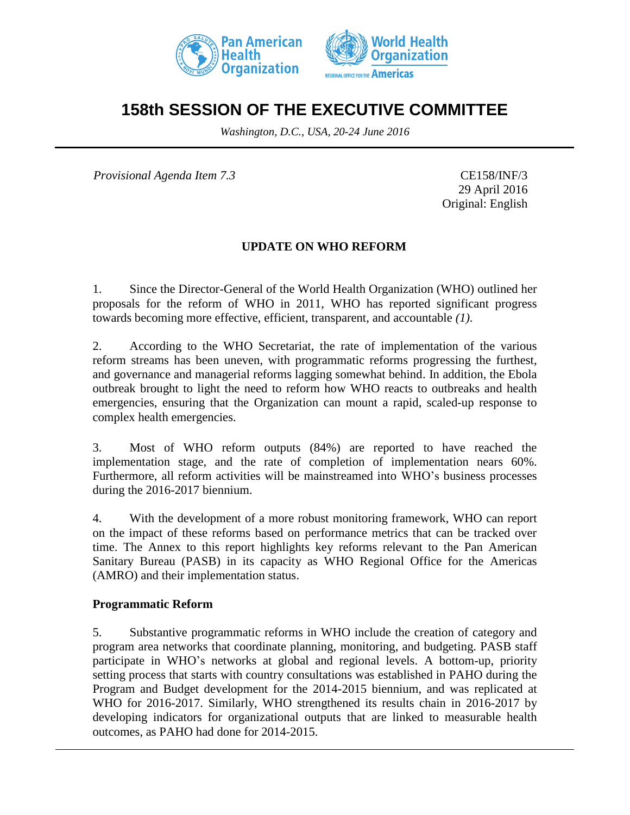



# **158th SESSION OF THE EXECUTIVE COMMITTEE**

*Washington, D.C., USA, 20-24 June 2016*

*Provisional Agenda Item 7.3* CE158/INF/3

29 April 2016 Original: English

### **UPDATE ON WHO REFORM**

1. Since the Director-General of the World Health Organization (WHO) outlined her proposals for the reform of WHO in 2011, WHO has reported significant progress towards becoming more effective, efficient, transparent, and accountable *(1)*.

2. According to the WHO Secretariat, the rate of implementation of the various reform streams has been uneven, with programmatic reforms progressing the furthest, and governance and managerial reforms lagging somewhat behind. In addition, the Ebola outbreak brought to light the need to reform how WHO reacts to outbreaks and health emergencies, ensuring that the Organization can mount a rapid, scaled-up response to complex health emergencies.

3. Most of WHO reform outputs (84%) are reported to have reached the implementation stage, and the rate of completion of implementation nears 60%. Furthermore, all reform activities will be mainstreamed into WHO's business processes during the 2016-2017 biennium.

4. With the development of a more robust monitoring framework, WHO can report on the impact of these reforms based on performance metrics that can be tracked over time. The Annex to this report highlights key reforms relevant to the Pan American Sanitary Bureau (PASB) in its capacity as WHO Regional Office for the Americas (AMRO) and their implementation status.

#### **Programmatic Reform**

5. Substantive programmatic reforms in WHO include the creation of category and program area networks that coordinate planning, monitoring, and budgeting. PASB staff participate in WHO's networks at global and regional levels. A bottom-up, priority setting process that starts with country consultations was established in PAHO during the Program and Budget development for the 2014-2015 biennium, and was replicated at WHO for 2016-2017. Similarly, WHO strengthened its results chain in 2016-2017 by developing indicators for organizational outputs that are linked to measurable health outcomes, as PAHO had done for 2014-2015.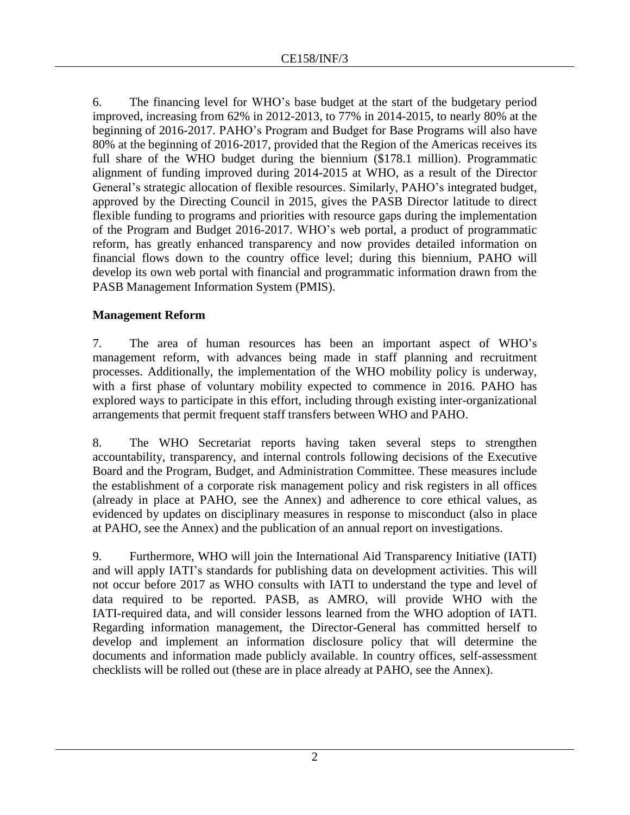6. The financing level for WHO's base budget at the start of the budgetary period improved, increasing from 62% in 2012-2013, to 77% in 2014-2015, to nearly 80% at the beginning of 2016-2017. PAHO's Program and Budget for Base Programs will also have 80% at the beginning of 2016-2017, provided that the Region of the Americas receives its full share of the WHO budget during the biennium (\$178.1 million). Programmatic alignment of funding improved during 2014-2015 at WHO, as a result of the Director General's strategic allocation of flexible resources. Similarly, PAHO's integrated budget, approved by the Directing Council in 2015, gives the PASB Director latitude to direct flexible funding to programs and priorities with resource gaps during the implementation of the Program and Budget 2016-2017. WHO's web portal, a product of programmatic reform, has greatly enhanced transparency and now provides detailed information on financial flows down to the country office level; during this biennium, PAHO will develop its own web portal with financial and programmatic information drawn from the PASB Management Information System (PMIS).

## **Management Reform**

7. The area of human resources has been an important aspect of WHO's management reform, with advances being made in staff planning and recruitment processes. Additionally, the implementation of the WHO mobility policy is underway, with a first phase of voluntary mobility expected to commence in 2016. PAHO has explored ways to participate in this effort, including through existing inter-organizational arrangements that permit frequent staff transfers between WHO and PAHO.

8. The WHO Secretariat reports having taken several steps to strengthen accountability, transparency, and internal controls following decisions of the Executive Board and the Program, Budget, and Administration Committee. These measures include the establishment of a corporate risk management policy and risk registers in all offices (already in place at PAHO, see the Annex) and adherence to core ethical values, as evidenced by updates on disciplinary measures in response to misconduct (also in place at PAHO, see the Annex) and the publication of an annual report on investigations.

9. Furthermore, WHO will join the International Aid Transparency Initiative (IATI) and will apply IATI's standards for publishing data on development activities. This will not occur before 2017 as WHO consults with IATI to understand the type and level of data required to be reported. PASB, as AMRO, will provide WHO with the IATI-required data, and will consider lessons learned from the WHO adoption of IATI. Regarding information management, the Director-General has committed herself to develop and implement an information disclosure policy that will determine the documents and information made publicly available. In country offices, self-assessment checklists will be rolled out (these are in place already at PAHO, see the Annex).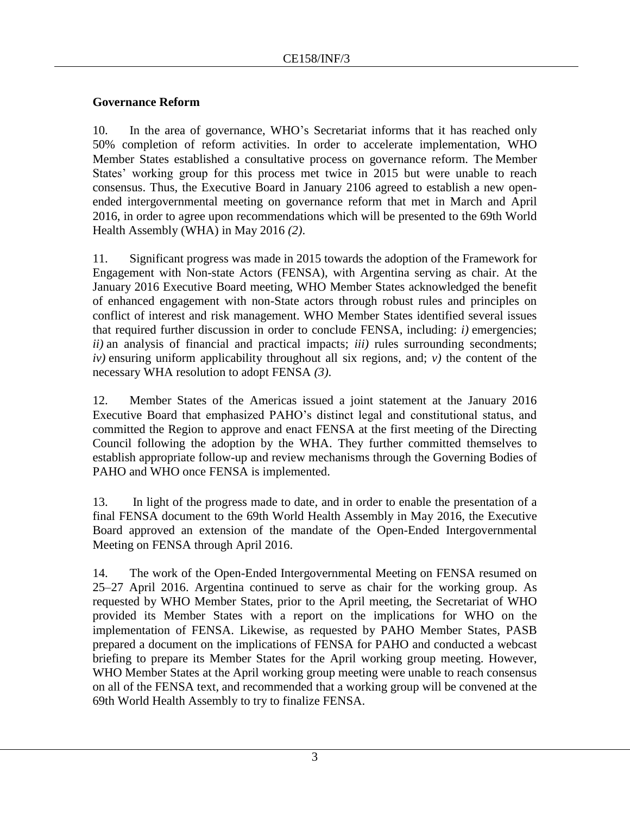### **Governance Reform**

10. In the area of governance, WHO's Secretariat informs that it has reached only 50% completion of reform activities. In order to accelerate implementation, WHO Member States established a consultative process on governance reform. The Member States' working group for this process met twice in 2015 but were unable to reach consensus. Thus, the Executive Board in January 2106 agreed to establish a new openended intergovernmental meeting on governance reform that met in March and April 2016, in order to agree upon recommendations which will be presented to the 69th World Health Assembly (WHA) in May 2016 *(2)*.

11. Significant progress was made in 2015 towards the adoption of the Framework for Engagement with Non-state Actors (FENSA), with Argentina serving as chair. At the January 2016 Executive Board meeting, WHO Member States acknowledged the benefit of enhanced engagement with non-State actors through robust rules and principles on conflict of interest and risk management. WHO Member States identified several issues that required further discussion in order to conclude FENSA, including: *i)* emergencies; *ii)* an analysis of financial and practical impacts; *iii)* rules surrounding secondments; *iv)* ensuring uniform applicability throughout all six regions, and; *v)* the content of the necessary WHA resolution to adopt FENSA *(3)*.

12. Member States of the Americas issued a joint statement at the January 2016 Executive Board that emphasized PAHO's distinct legal and constitutional status, and committed the Region to approve and enact FENSA at the first meeting of the Directing Council following the adoption by the WHA. They further committed themselves to establish appropriate follow-up and review mechanisms through the Governing Bodies of PAHO and WHO once FENSA is implemented.

13. In light of the progress made to date, and in order to enable the presentation of a final FENSA document to the 69th World Health Assembly in May 2016, the Executive Board approved an extension of the mandate of the Open-Ended Intergovernmental Meeting on FENSA through April 2016.

14. The work of the Open-Ended Intergovernmental Meeting on FENSA resumed on 25–27 April 2016. Argentina continued to serve as chair for the working group. As requested by WHO Member States, prior to the April meeting, the Secretariat of WHO provided its Member States with a report on the implications for WHO on the implementation of FENSA. Likewise, as requested by PAHO Member States, PASB prepared a document on the implications of FENSA for PAHO and conducted a webcast briefing to prepare its Member States for the April working group meeting. However, WHO Member States at the April working group meeting were unable to reach consensus on all of the FENSA text, and recommended that a working group will be convened at the 69th World Health Assembly to try to finalize FENSA.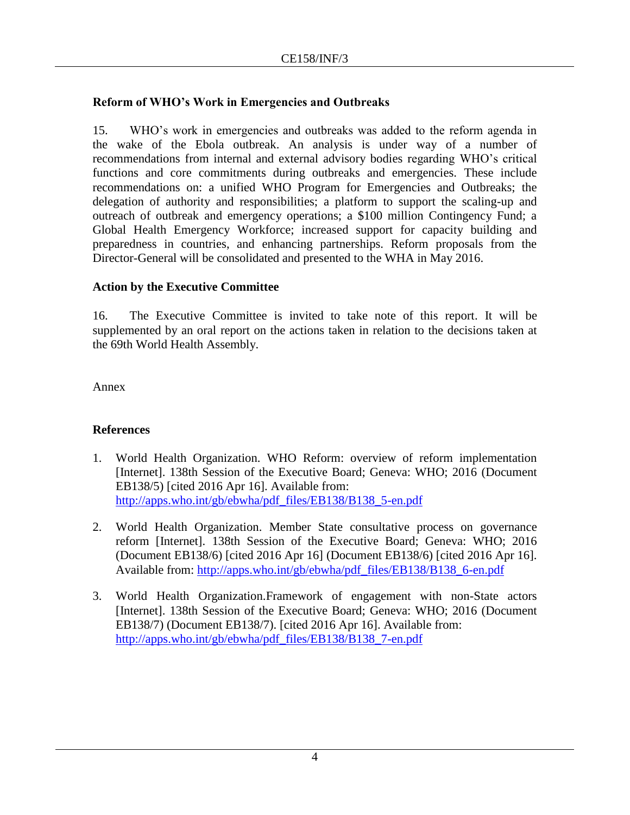## **Reform of WHO's Work in Emergencies and Outbreaks**

15. WHO's work in emergencies and outbreaks was added to the reform agenda in the wake of the Ebola outbreak. An analysis is under way of a number of recommendations from internal and external advisory bodies regarding WHO's critical functions and core commitments during outbreaks and emergencies. These include recommendations on: a unified WHO Program for Emergencies and Outbreaks; the delegation of authority and responsibilities; a platform to support the scaling-up and outreach of outbreak and emergency operations; a \$100 million Contingency Fund; a Global Health Emergency Workforce; increased support for capacity building and preparedness in countries, and enhancing partnerships. Reform proposals from the Director-General will be consolidated and presented to the WHA in May 2016.

#### **Action by the Executive Committee**

16. The Executive Committee is invited to take note of this report. It will be supplemented by an oral report on the actions taken in relation to the decisions taken at the 69th World Health Assembly.

Annex

## **References**

- 1. World Health Organization. WHO Reform: overview of reform implementation [Internet]. 138th Session of the Executive Board; Geneva: WHO; 2016 (Document EB138/5) [cited 2016 Apr 16]. Available from: [http://apps.who.int/gb/ebwha/pdf\\_files/EB138/B138\\_5-en.pdf](http://apps.who.int/gb/ebwha/pdf_files/EB138/B138_5-en.pdf)
- 2. World Health Organization. Member State consultative process on governance reform [Internet]. 138th Session of the Executive Board; Geneva: WHO; 2016 (Document EB138/6) [cited 2016 Apr 16] (Document EB138/6) [cited 2016 Apr 16]. Available from: [http://apps.who.int/gb/ebwha/pdf\\_files/EB138/B138\\_6-en.pdf](http://apps.who.int/gb/ebwha/pdf_files/EB138/B138_6-en.pdf)
- 3. World Health Organization.Framework of engagement with non-State actors [Internet]. 138th Session of the Executive Board; Geneva: WHO; 2016 (Document EB138/7) (Document EB138/7). [cited 2016 Apr 16]. Available from: [http://apps.who.int/gb/ebwha/pdf\\_files/EB138/B138\\_7-en.pdf](http://apps.who.int/gb/ebwha/pdf_files/EB138/B138_7-en.pdf)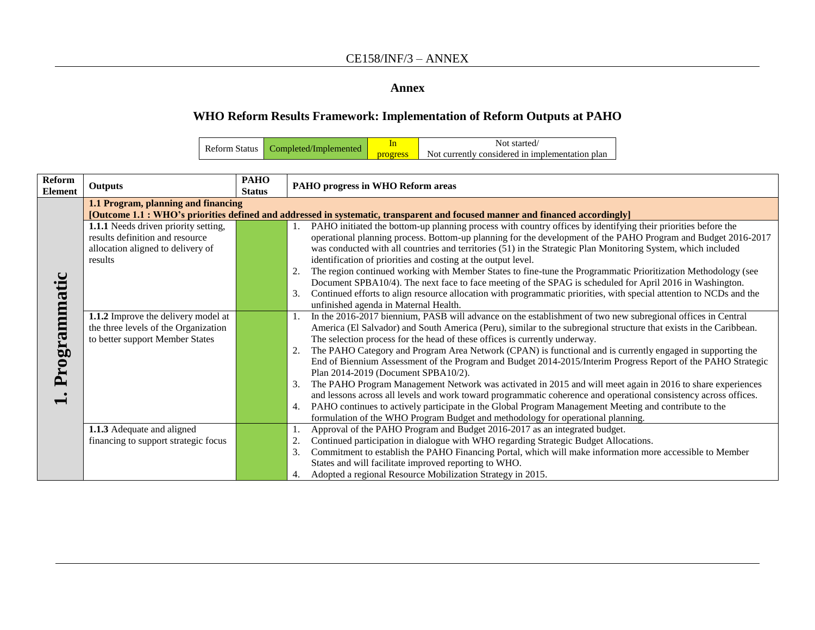#### **Annex**

# **WHO Reform Results Framework: Implementation of Reform Outputs at PAHO**

| <b>Reform Status</b> | Completed/Implemented |                 | Not started                                     |
|----------------------|-----------------------|-----------------|-------------------------------------------------|
|                      |                       | <b>progress</b> | Not currently considered in implementation plan |

| Reform<br><b>Element</b> | <b>PAHO</b><br><b>Outputs</b><br><b>Status</b>                                                                                |  | PAHO progress in WHO Reform areas                                                                                         |
|--------------------------|-------------------------------------------------------------------------------------------------------------------------------|--|---------------------------------------------------------------------------------------------------------------------------|
|                          | 1.1 Program, planning and financing                                                                                           |  |                                                                                                                           |
|                          | [Outcome 1.1 : WHO's priorities defined and addressed in systematic, transparent and focused manner and financed accordingly] |  |                                                                                                                           |
|                          | 1.1.1 Needs driven priority setting,                                                                                          |  | PAHO initiated the bottom-up planning process with country offices by identifying their priorities before the             |
|                          | results definition and resource                                                                                               |  | operational planning process. Bottom-up planning for the development of the PAHO Program and Budget 2016-2017             |
|                          | allocation aligned to delivery of                                                                                             |  | was conducted with all countries and territories (51) in the Strategic Plan Monitoring System, which included             |
|                          | results                                                                                                                       |  | identification of priorities and costing at the output level.                                                             |
|                          |                                                                                                                               |  | The region continued working with Member States to fine-tune the Programmatic Prioritization Methodology (see<br>2.       |
|                          |                                                                                                                               |  | Document SPBA10/4). The next face to face meeting of the SPAG is scheduled for April 2016 in Washington.                  |
| Programmatic             |                                                                                                                               |  | Continued efforts to align resource allocation with programmatic priorities, with special attention to NCDs and the<br>3. |
|                          |                                                                                                                               |  | unfinished agenda in Maternal Health.                                                                                     |
|                          | 1.1.2 Improve the delivery model at                                                                                           |  | In the 2016-2017 biennium, PASB will advance on the establishment of two new subregional offices in Central               |
|                          | the three levels of the Organization                                                                                          |  | America (El Salvador) and South America (Peru), similar to the subregional structure that exists in the Caribbean.        |
|                          | to better support Member States                                                                                               |  | The selection process for the head of these offices is currently underway.                                                |
|                          |                                                                                                                               |  | The PAHO Category and Program Area Network (CPAN) is functional and is currently engaged in supporting the<br>2.          |
|                          |                                                                                                                               |  | End of Biennium Assessment of the Program and Budget 2014-2015/Interim Progress Report of the PAHO Strategic              |
|                          |                                                                                                                               |  | Plan 2014-2019 (Document SPBA10/2).                                                                                       |
|                          |                                                                                                                               |  | The PAHO Program Management Network was activated in 2015 and will meet again in 2016 to share experiences<br>3.          |
| $\blacksquare$           |                                                                                                                               |  | and lessons across all levels and work toward programmatic coherence and operational consistency across offices.          |
|                          |                                                                                                                               |  | PAHO continues to actively participate in the Global Program Management Meeting and contribute to the<br>4.               |
|                          |                                                                                                                               |  | formulation of the WHO Program Budget and methodology for operational planning.                                           |
|                          | 1.1.3 Adequate and aligned                                                                                                    |  | Approval of the PAHO Program and Budget 2016-2017 as an integrated budget.                                                |
|                          | financing to support strategic focus                                                                                          |  | Continued participation in dialogue with WHO regarding Strategic Budget Allocations.<br>2.                                |
|                          |                                                                                                                               |  | 3.<br>Commitment to establish the PAHO Financing Portal, which will make information more accessible to Member            |
|                          |                                                                                                                               |  | States and will facilitate improved reporting to WHO.                                                                     |
|                          |                                                                                                                               |  | Adopted a regional Resource Mobilization Strategy in 2015.<br>4.                                                          |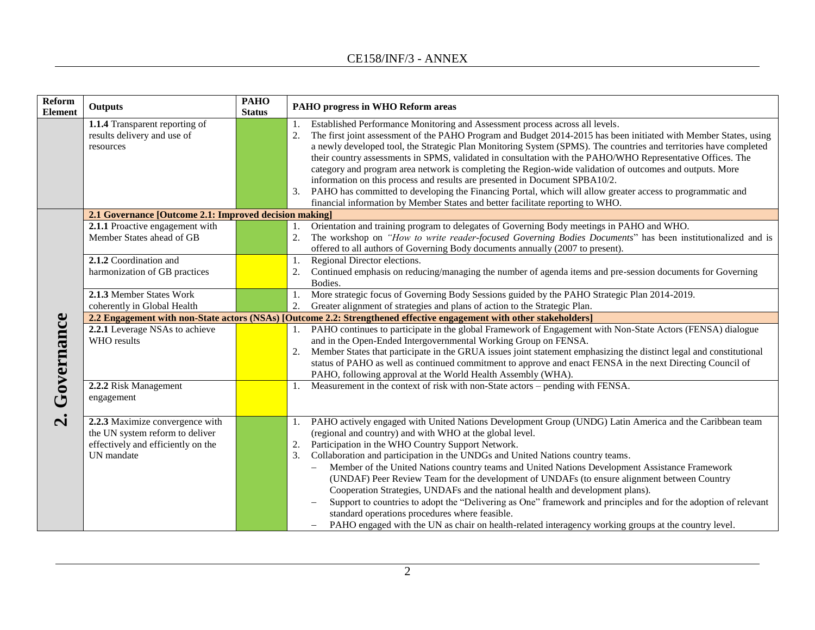### CE158/INF/3 - ANNEX

| Reform<br><b>Element</b>                                                                                             | <b>Outputs</b>                                                             | <b>PAHO</b><br><b>Status</b> | PAHO progress in WHO Reform areas                                                                                                                                                                                                                                                                                                                                                                                                                                                                                                                                                                                                                                                                                                                                                                                                          |  |
|----------------------------------------------------------------------------------------------------------------------|----------------------------------------------------------------------------|------------------------------|--------------------------------------------------------------------------------------------------------------------------------------------------------------------------------------------------------------------------------------------------------------------------------------------------------------------------------------------------------------------------------------------------------------------------------------------------------------------------------------------------------------------------------------------------------------------------------------------------------------------------------------------------------------------------------------------------------------------------------------------------------------------------------------------------------------------------------------------|--|
|                                                                                                                      | 1.1.4 Transparent reporting of<br>results delivery and use of<br>resources |                              | Established Performance Monitoring and Assessment process across all levels.<br>The first joint assessment of the PAHO Program and Budget 2014-2015 has been initiated with Member States, using<br>2.<br>a newly developed tool, the Strategic Plan Monitoring System (SPMS). The countries and territories have completed<br>their country assessments in SPMS, validated in consultation with the PAHO/WHO Representative Offices. The<br>category and program area network is completing the Region-wide validation of outcomes and outputs. More<br>information on this process and results are presented in Document SPBA10/2.<br>PAHO has committed to developing the Financing Portal, which will allow greater access to programmatic and<br>3.<br>financial information by Member States and better facilitate reporting to WHO. |  |
|                                                                                                                      | 2.1 Governance [Outcome 2.1: Improved decision making]                     |                              |                                                                                                                                                                                                                                                                                                                                                                                                                                                                                                                                                                                                                                                                                                                                                                                                                                            |  |
|                                                                                                                      | 2.1.1 Proactive engagement with<br>Member States ahead of GB               |                              | Orientation and training program to delegates of Governing Body meetings in PAHO and WHO.<br>1.<br>The workshop on "How to write reader-focused Governing Bodies Documents" has been institutionalized and is<br>2.<br>offered to all authors of Governing Body documents annually (2007 to present).                                                                                                                                                                                                                                                                                                                                                                                                                                                                                                                                      |  |
|                                                                                                                      | 2.1.2 Coordination and<br>harmonization of GB practices                    |                              | Regional Director elections.<br>1.<br>Continued emphasis on reducing/managing the number of agenda items and pre-session documents for Governing<br>Bodies.                                                                                                                                                                                                                                                                                                                                                                                                                                                                                                                                                                                                                                                                                |  |
|                                                                                                                      | 2.1.3 Member States Work                                                   |                              | More strategic focus of Governing Body Sessions guided by the PAHO Strategic Plan 2014-2019.                                                                                                                                                                                                                                                                                                                                                                                                                                                                                                                                                                                                                                                                                                                                               |  |
|                                                                                                                      | coherently in Global Health                                                |                              | Greater alignment of strategies and plans of action to the Strategic Plan.<br>2.                                                                                                                                                                                                                                                                                                                                                                                                                                                                                                                                                                                                                                                                                                                                                           |  |
| 2.2 Engagement with non-State actors (NSAs) [Outcome 2.2: Strengthened effective engagement with other stakeholders] |                                                                            |                              |                                                                                                                                                                                                                                                                                                                                                                                                                                                                                                                                                                                                                                                                                                                                                                                                                                            |  |
|                                                                                                                      | 2.2.1 Leverage NSAs to achieve                                             |                              | PAHO continues to participate in the global Framework of Engagement with Non-State Actors (FENSA) dialogue                                                                                                                                                                                                                                                                                                                                                                                                                                                                                                                                                                                                                                                                                                                                 |  |
| Governance                                                                                                           | WHO results                                                                |                              | and in the Open-Ended Intergovernmental Working Group on FENSA.<br>Member States that participate in the GRUA issues joint statement emphasizing the distinct legal and constitutional<br>2.<br>status of PAHO as well as continued commitment to approve and enact FENSA in the next Directing Council of<br>PAHO, following approval at the World Health Assembly (WHA).                                                                                                                                                                                                                                                                                                                                                                                                                                                                 |  |
|                                                                                                                      | 2.2.2 Risk Management<br>engagement                                        |                              | Measurement in the context of risk with non-State actors - pending with FENSA.                                                                                                                                                                                                                                                                                                                                                                                                                                                                                                                                                                                                                                                                                                                                                             |  |
| $\dot{\mathbf{c}}$                                                                                                   | 2.2.3 Maximize convergence with                                            |                              | PAHO actively engaged with United Nations Development Group (UNDG) Latin America and the Caribbean team                                                                                                                                                                                                                                                                                                                                                                                                                                                                                                                                                                                                                                                                                                                                    |  |
|                                                                                                                      | the UN system reform to deliver                                            |                              | (regional and country) and with WHO at the global level.                                                                                                                                                                                                                                                                                                                                                                                                                                                                                                                                                                                                                                                                                                                                                                                   |  |
|                                                                                                                      | effectively and efficiently on the                                         |                              | Participation in the WHO Country Support Network.<br>2.                                                                                                                                                                                                                                                                                                                                                                                                                                                                                                                                                                                                                                                                                                                                                                                    |  |
|                                                                                                                      | UN mandate                                                                 |                              | Collaboration and participation in the UNDGs and United Nations country teams.<br>3.                                                                                                                                                                                                                                                                                                                                                                                                                                                                                                                                                                                                                                                                                                                                                       |  |
|                                                                                                                      |                                                                            |                              | Member of the United Nations country teams and United Nations Development Assistance Framework                                                                                                                                                                                                                                                                                                                                                                                                                                                                                                                                                                                                                                                                                                                                             |  |
|                                                                                                                      |                                                                            |                              | (UNDAF) Peer Review Team for the development of UNDAFs (to ensure alignment between Country<br>Cooperation Strategies, UNDAFs and the national health and development plans).                                                                                                                                                                                                                                                                                                                                                                                                                                                                                                                                                                                                                                                              |  |
|                                                                                                                      |                                                                            |                              | Support to countries to adopt the "Delivering as One" framework and principles and for the adoption of relevant                                                                                                                                                                                                                                                                                                                                                                                                                                                                                                                                                                                                                                                                                                                            |  |
|                                                                                                                      |                                                                            |                              | standard operations procedures where feasible.                                                                                                                                                                                                                                                                                                                                                                                                                                                                                                                                                                                                                                                                                                                                                                                             |  |
|                                                                                                                      |                                                                            |                              | PAHO engaged with the UN as chair on health-related interagency working groups at the country level.                                                                                                                                                                                                                                                                                                                                                                                                                                                                                                                                                                                                                                                                                                                                       |  |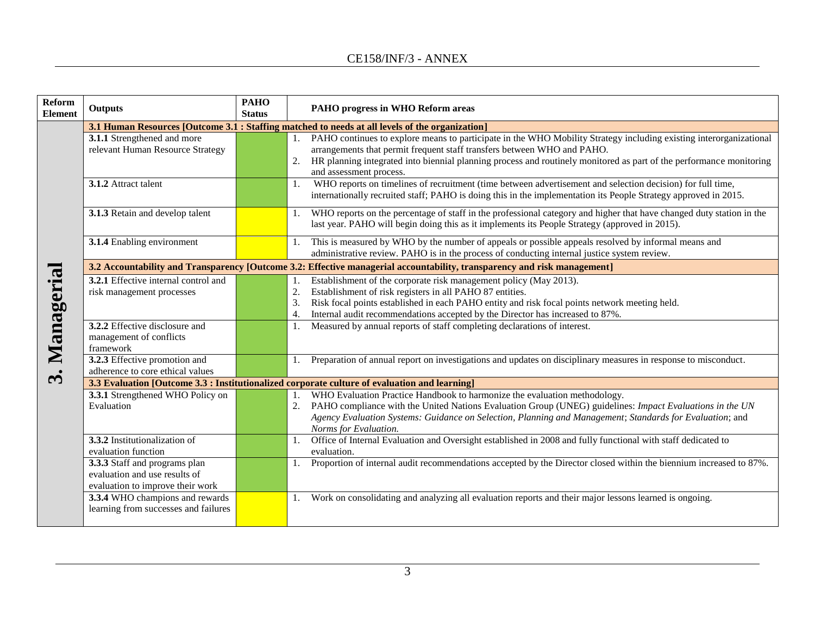| <b>Reform</b><br><b>Element</b>                                                                 | <b>Outputs</b>                                                                                     | <b>PAHO</b><br><b>Status</b> | PAHO progress in WHO Reform areas                                                                                                                                                                                                                                                                                                                           |  |
|-------------------------------------------------------------------------------------------------|----------------------------------------------------------------------------------------------------|------------------------------|-------------------------------------------------------------------------------------------------------------------------------------------------------------------------------------------------------------------------------------------------------------------------------------------------------------------------------------------------------------|--|
| 3.1 Human Resources [Outcome 3.1 : Staffing matched to needs at all levels of the organization] |                                                                                                    |                              |                                                                                                                                                                                                                                                                                                                                                             |  |
|                                                                                                 | 3.1.1 Strengthened and more<br>relevant Human Resource Strategy                                    |                              | PAHO continues to explore means to participate in the WHO Mobility Strategy including existing interorganizational<br>1.<br>arrangements that permit frequent staff transfers between WHO and PAHO.<br>HR planning integrated into biennial planning process and routinely monitored as part of the performance monitoring<br>2.<br>and assessment process. |  |
|                                                                                                 | 3.1.2 Attract talent                                                                               |                              | WHO reports on timelines of recruitment (time between advertisement and selection decision) for full time,<br>1.<br>internationally recruited staff; PAHO is doing this in the implementation its People Strategy approved in 2015.                                                                                                                         |  |
|                                                                                                 | 3.1.3 Retain and develop talent                                                                    |                              | WHO reports on the percentage of staff in the professional category and higher that have changed duty station in the<br>1.<br>last year. PAHO will begin doing this as it implements its People Strategy (approved in 2015).                                                                                                                                |  |
|                                                                                                 | 3.1.4 Enabling environment                                                                         |                              | This is measured by WHO by the number of appeals or possible appeals resolved by informal means and<br>1.<br>administrative review. PAHO is in the process of conducting internal justice system review.                                                                                                                                                    |  |
|                                                                                                 |                                                                                                    |                              | 3.2 Accountability and Transparency [Outcome 3.2: Effective managerial accountability, transparency and risk management]                                                                                                                                                                                                                                    |  |
| Managerial                                                                                      | 3.2.1 Effective internal control and<br>risk management processes                                  |                              | Establishment of the corporate risk management policy (May 2013).<br>1.<br>Establishment of risk registers in all PAHO 87 entities.<br>2.<br>Risk focal points established in each PAHO entity and risk focal points network meeting held.<br>3.<br>Internal audit recommendations accepted by the Director has increased to 87%.<br>4.                     |  |
|                                                                                                 | 3.2.2 Effective disclosure and<br>management of conflicts<br>framework                             |                              | Measured by annual reports of staff completing declarations of interest.<br>1.                                                                                                                                                                                                                                                                              |  |
| $\ddot{\bm{x}}$                                                                                 | 3.2.3 Effective promotion and<br>adherence to core ethical values                                  |                              | Preparation of annual report on investigations and updates on disciplinary measures in response to misconduct.                                                                                                                                                                                                                                              |  |
|                                                                                                 | 3.3 Evaluation [Outcome 3.3 : Institutionalized corporate culture of evaluation and learning]      |                              |                                                                                                                                                                                                                                                                                                                                                             |  |
|                                                                                                 | 3.3.1 Strengthened WHO Policy on<br>Evaluation                                                     |                              | WHO Evaluation Practice Handbook to harmonize the evaluation methodology.<br>1.<br>PAHO compliance with the United Nations Evaluation Group (UNEG) guidelines: Impact Evaluations in the UN<br>Agency Evaluation Systems: Guidance on Selection, Planning and Management; Standards for Evaluation; and<br>Norms for Evaluation.                            |  |
|                                                                                                 | 3.3.2 Institutionalization of<br>evaluation function                                               |                              | Office of Internal Evaluation and Oversight established in 2008 and fully functional with staff dedicated to<br>1.<br>evaluation.                                                                                                                                                                                                                           |  |
|                                                                                                 | 3.3.3 Staff and programs plan<br>evaluation and use results of<br>evaluation to improve their work |                              | Proportion of internal audit recommendations accepted by the Director closed within the biennium increased to 87%.<br>1.                                                                                                                                                                                                                                    |  |
|                                                                                                 | 3.3.4 WHO champions and rewards<br>learning from successes and failures                            |                              | Work on consolidating and analyzing all evaluation reports and their major lessons learned is ongoing.<br>1.                                                                                                                                                                                                                                                |  |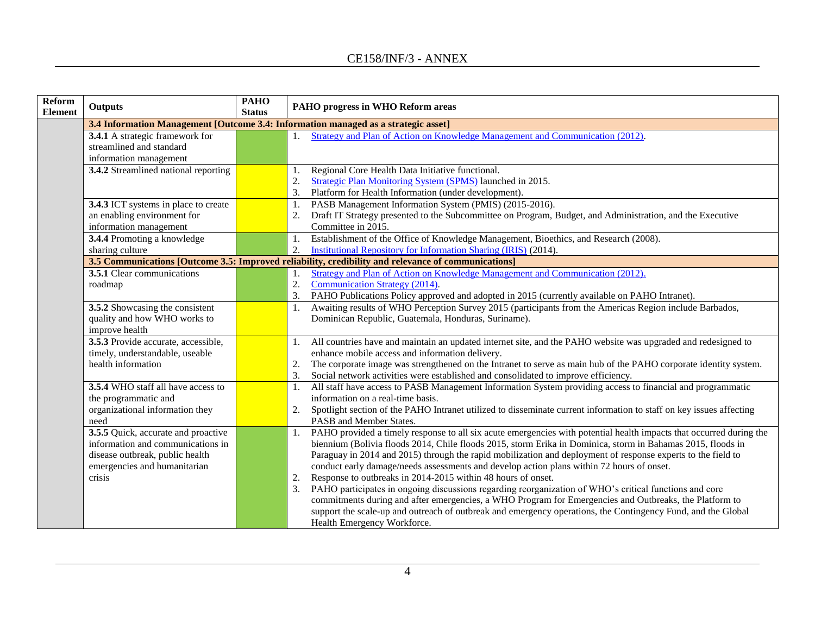| Reform<br><b>Element</b> | <b>Outputs</b>                                                                     | <b>PAHO</b><br><b>Status</b> | PAHO progress in WHO Reform areas                                                                                                                                                                                      |  |
|--------------------------|------------------------------------------------------------------------------------|------------------------------|------------------------------------------------------------------------------------------------------------------------------------------------------------------------------------------------------------------------|--|
|                          | 3.4 Information Management [Outcome 3.4: Information managed as a strategic asset] |                              |                                                                                                                                                                                                                        |  |
|                          | 3.4.1 A strategic framework for                                                    |                              | Strategy and Plan of Action on Knowledge Management and Communication (2012).<br>1.                                                                                                                                    |  |
|                          | streamlined and standard                                                           |                              |                                                                                                                                                                                                                        |  |
|                          | information management                                                             |                              |                                                                                                                                                                                                                        |  |
|                          | 3.4.2 Streamlined national reporting                                               |                              | Regional Core Health Data Initiative functional.<br>1.                                                                                                                                                                 |  |
|                          |                                                                                    |                              | Strategic Plan Monitoring System (SPMS) launched in 2015.<br>2.                                                                                                                                                        |  |
|                          |                                                                                    |                              | 3.<br>Platform for Health Information (under development).                                                                                                                                                             |  |
|                          | 3.4.3 ICT systems in place to create<br>an enabling environment for                |                              | PASB Management Information System (PMIS) (2015-2016).<br>1.<br>Draft IT Strategy presented to the Subcommittee on Program, Budget, and Administration, and the Executive<br>2.                                        |  |
|                          | information management                                                             |                              | Committee in 2015.                                                                                                                                                                                                     |  |
|                          | <b>3.4.4</b> Promoting a knowledge                                                 |                              | Establishment of the Office of Knowledge Management, Bioethics, and Research (2008).<br>1.                                                                                                                             |  |
|                          | sharing culture                                                                    |                              | 2.<br>Institutional Repository for Information Sharing (IRIS) (2014).                                                                                                                                                  |  |
|                          |                                                                                    |                              | 3.5 Communications [Outcome 3.5: Improved reliability, credibility and relevance of communications]                                                                                                                    |  |
|                          | 3.5.1 Clear communications                                                         |                              | Strategy and Plan of Action on Knowledge Management and Communication (2012).<br>1.                                                                                                                                    |  |
|                          | roadmap                                                                            |                              | 2.<br>Communication Strategy (2014).                                                                                                                                                                                   |  |
|                          |                                                                                    |                              | 3.<br>PAHO Publications Policy approved and adopted in 2015 (currently available on PAHO Intranet).                                                                                                                    |  |
|                          | 3.5.2 Showcasing the consistent                                                    |                              | Awaiting results of WHO Perception Survey 2015 (participants from the Americas Region include Barbados,<br>1.                                                                                                          |  |
|                          | quality and how WHO works to                                                       |                              | Dominican Republic, Guatemala, Honduras, Suriname).                                                                                                                                                                    |  |
|                          | improve health                                                                     |                              |                                                                                                                                                                                                                        |  |
|                          | 3.5.3 Provide accurate, accessible,                                                |                              | All countries have and maintain an updated internet site, and the PAHO website was upgraded and redesigned to<br>1.                                                                                                    |  |
|                          | timely, understandable, useable<br>health information                              |                              | enhance mobile access and information delivery.                                                                                                                                                                        |  |
|                          |                                                                                    |                              | The corporate image was strengthened on the Intranet to serve as main hub of the PAHO corporate identity system.<br>2.<br>Social network activities were established and consolidated to improve efficiency.<br>3.     |  |
|                          | 3.5.4 WHO staff all have access to                                                 |                              | All staff have access to PASB Management Information System providing access to financial and programmatic<br>1.                                                                                                       |  |
|                          | the programmatic and                                                               |                              | information on a real-time basis.                                                                                                                                                                                      |  |
|                          | organizational information they                                                    |                              | Spotlight section of the PAHO Intranet utilized to disseminate current information to staff on key issues affecting<br>2.                                                                                              |  |
|                          | need                                                                               |                              | PASB and Member States.                                                                                                                                                                                                |  |
|                          | 3.5.5 Quick, accurate and proactive                                                |                              | PAHO provided a timely response to all six acute emergencies with potential health impacts that occurred during the<br>1.                                                                                              |  |
|                          | information and communications in                                                  |                              | biennium (Bolivia floods 2014, Chile floods 2015, storm Erika in Dominica, storm in Bahamas 2015, floods in                                                                                                            |  |
|                          | disease outbreak, public health                                                    |                              | Paraguay in 2014 and 2015) through the rapid mobilization and deployment of response experts to the field to                                                                                                           |  |
|                          | emergencies and humanitarian                                                       |                              | conduct early damage/needs assessments and develop action plans within 72 hours of onset.                                                                                                                              |  |
|                          | crisis                                                                             |                              | Response to outbreaks in 2014-2015 within 48 hours of onset.<br>2.                                                                                                                                                     |  |
|                          |                                                                                    |                              | 3.<br>PAHO participates in ongoing discussions regarding reorganization of WHO's critical functions and core                                                                                                           |  |
|                          |                                                                                    |                              | commitments during and after emergencies, a WHO Program for Emergencies and Outbreaks, the Platform to<br>support the scale-up and outreach of outbreak and emergency operations, the Contingency Fund, and the Global |  |
|                          |                                                                                    |                              | Health Emergency Workforce.                                                                                                                                                                                            |  |
|                          |                                                                                    |                              |                                                                                                                                                                                                                        |  |